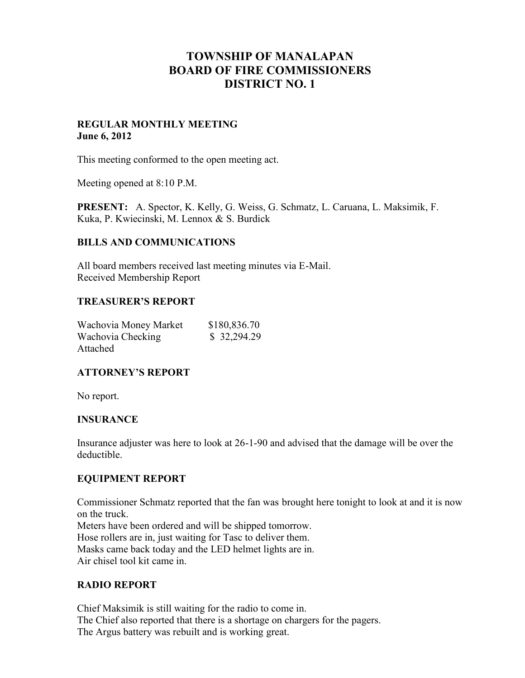# **TOWNSHIP OF MANALAPAN BOARD OF FIRE COMMISSIONERS DISTRICT NO. 1**

### **REGULAR MONTHLY MEETING June 6, 2012**

This meeting conformed to the open meeting act.

Meeting opened at 8:10 P.M.

**PRESENT:** A. Spector, K. Kelly, G. Weiss, G. Schmatz, L. Caruana, L. Maksimik, F. Kuka, P. Kwiecinski, M. Lennox & S. Burdick

#### **BILLS AND COMMUNICATIONS**

All board members received last meeting minutes via E-Mail. Received Membership Report

#### **TREASURER'S REPORT**

| Wachovia Money Market | \$180,836.70 |
|-----------------------|--------------|
| Wachovia Checking     | \$32,294.29  |
| Attached              |              |

# **ATTORNEY'S REPORT**

No report.

# **INSURANCE**

Insurance adjuster was here to look at 26-1-90 and advised that the damage will be over the deductible.

# **EQUIPMENT REPORT**

Commissioner Schmatz reported that the fan was brought here tonight to look at and it is now on the truck. Meters have been ordered and will be shipped tomorrow. Hose rollers are in, just waiting for Tasc to deliver them. Masks came back today and the LED helmet lights are in.

Air chisel tool kit came in.

# **RADIO REPORT**

Chief Maksimik is still waiting for the radio to come in. The Chief also reported that there is a shortage on chargers for the pagers. The Argus battery was rebuilt and is working great.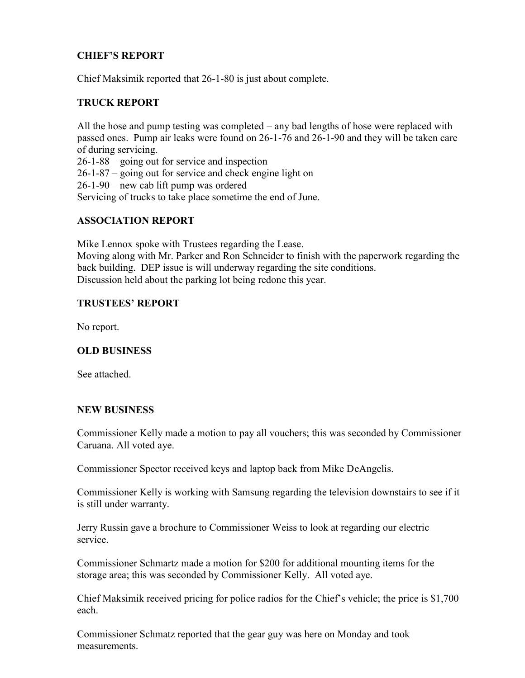# **CHIEF'S REPORT**

Chief Maksimik reported that 26-1-80 is just about complete.

### **TRUCK REPORT**

All the hose and pump testing was completed – any bad lengths of hose were replaced with passed ones. Pump air leaks were found on 26-1-76 and 26-1-90 and they will be taken care of during servicing.

26-1-88 – going out for service and inspection 26-1-87 – going out for service and check engine light on 26-1-90 – new cab lift pump was ordered Servicing of trucks to take place sometime the end of June.

# **ASSOCIATION REPORT**

Mike Lennox spoke with Trustees regarding the Lease. Moving along with Mr. Parker and Ron Schneider to finish with the paperwork regarding the back building. DEP issue is will underway regarding the site conditions. Discussion held about the parking lot being redone this year.

### **TRUSTEES' REPORT**

No report.

#### **OLD BUSINESS**

See attached.

#### **NEW BUSINESS**

Commissioner Kelly made a motion to pay all vouchers; this was seconded by Commissioner Caruana. All voted aye.

Commissioner Spector received keys and laptop back from Mike DeAngelis.

Commissioner Kelly is working with Samsung regarding the television downstairs to see if it is still under warranty.

Jerry Russin gave a brochure to Commissioner Weiss to look at regarding our electric service.

Commissioner Schmartz made a motion for \$200 for additional mounting items for the storage area; this was seconded by Commissioner Kelly. All voted aye.

Chief Maksimik received pricing for police radios for the Chief's vehicle; the price is \$1,700 each.

Commissioner Schmatz reported that the gear guy was here on Monday and took measurements.